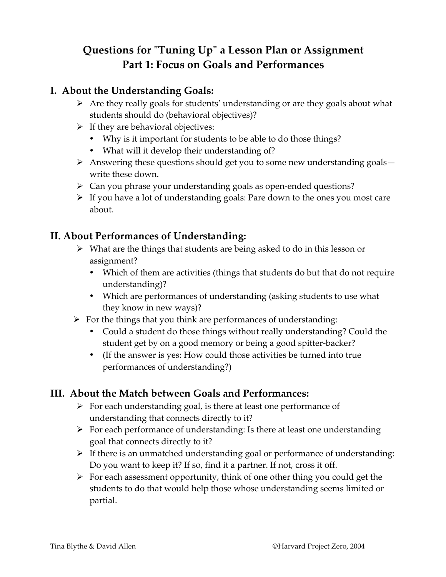# **Questions for "Tuning Up" a Lesson Plan or Assignment Part 1: Focus on Goals and Performances**

#### **I. About the Understanding Goals:**

- $\triangleright$  Are they really goals for students' understanding or are they goals about what students should do (behavioral objectives)?
- $\triangleright$  If they are behavioral objectives:
	- Why is it important for students to be able to do those things?
	- What will it develop their understanding of?
- $\triangleright$  Answering these questions should get you to some new understanding goals write these down.
- $\triangleright$  Can you phrase your understanding goals as open-ended questions?
- $\triangleright$  If you have a lot of understanding goals: Pare down to the ones you most care about.

#### **II. About Performances of Understanding:**

- $\triangleright$  What are the things that students are being asked to do in this lesson or assignment?
	- Which of them are activities (things that students do but that do not require understanding)?
	- Which are performances of understanding (asking students to use what they know in new ways)?
- $\triangleright$  For the things that you think are performances of understanding:
	- Could a student do those things without really understanding? Could the student get by on a good memory or being a good spitter-backer?
	- (If the answer is yes: How could those activities be turned into true performances of understanding?)

#### **III. About the Match between Goals and Performances:**

- $\triangleright$  For each understanding goal, is there at least one performance of understanding that connects directly to it?
- $\triangleright$  For each performance of understanding: Is there at least one understanding goal that connects directly to it?
- $\triangleright$  If there is an unmatched understanding goal or performance of understanding: Do you want to keep it? If so, find it a partner. If not, cross it off.
- $\triangleright$  For each assessment opportunity, think of one other thing you could get the students to do that would help those whose understanding seems limited or partial.